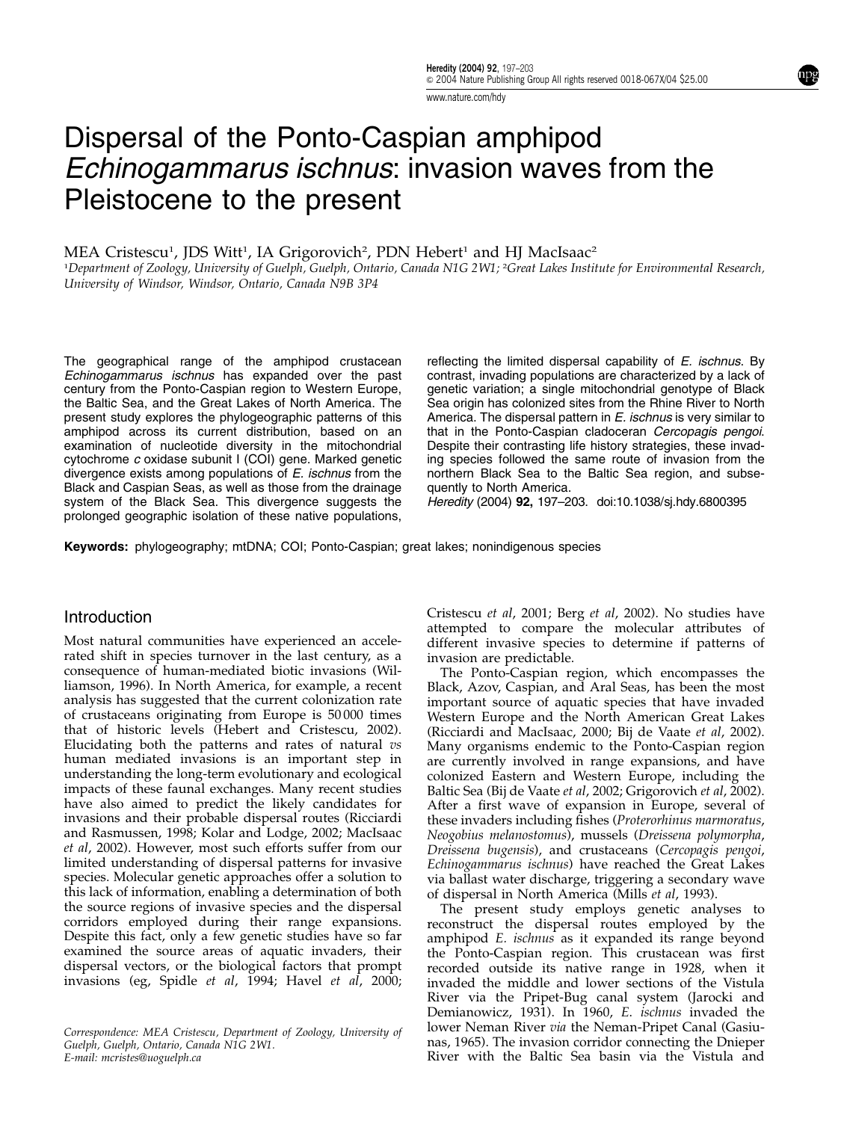www.nature.com/hdy

# Dispersal of the Ponto-Caspian amphipod Echinogammarus ischnus: invasion waves from the Pleistocene to the present

MEA Cristescu<sup>1</sup>, JDS Witt<sup>1</sup>, IA Grigorovich<sup>2</sup>, PDN Hebert<sup>1</sup> and HJ MacIsaac<sup>2</sup>

1 Department of Zoology, University of Guelph, Guelph, Ontario, Canada N1G 2W1; <sup>2</sup> Great Lakes Institute for Environmental Research, University of Windsor, Windsor, Ontario, Canada N9B 3P4

The geographical range of the amphipod crustacean Echinogammarus ischnus has expanded over the past century from the Ponto-Caspian region to Western Europe, the Baltic Sea, and the Great Lakes of North America. The present study explores the phylogeographic patterns of this amphipod across its current distribution, based on an examination of nucleotide diversity in the mitochondrial cytochrome c oxidase subunit I (COI) gene. Marked genetic divergence exists among populations of  $E$ . ischnus from the Black and Caspian Seas, as well as those from the drainage system of the Black Sea. This divergence suggests the prolonged geographic isolation of these native populations,

reflecting the limited dispersal capability of E. ischnus. By contrast, invading populations are characterized by a lack of genetic variation; a single mitochondrial genotype of Black Sea origin has colonized sites from the Rhine River to North America. The dispersal pattern in E. ischnus is very similar to that in the Ponto-Caspian cladoceran Cercopagis pengoi. Despite their contrasting life history strategies, these invading species followed the same route of invasion from the northern Black Sea to the Baltic Sea region, and subsequently to North America.

Heredity (2004) 92, 197–203. doi:10.1038/sj.hdy.6800395

Keywords: phylogeography; mtDNA; COI; Ponto-Caspian; great lakes; nonindigenous species

# Introduction

Most natural communities have experienced an accelerated shift in species turnover in the last century, as a consequence of human-mediated biotic invasions (Williamson, 1996). In North America, for example, a recent analysis has suggested that the current colonization rate of crustaceans originating from Europe is 50 000 times that of historic levels (Hebert and Cristescu, 2002). Elucidating both the patterns and rates of natural vs human mediated invasions is an important step in understanding the long-term evolutionary and ecological impacts of these faunal exchanges. Many recent studies have also aimed to predict the likely candidates for invasions and their probable dispersal routes (Ricciardi and Rasmussen, 1998; Kolar and Lodge, 2002; MacIsaac et al, 2002). However, most such efforts suffer from our limited understanding of dispersal patterns for invasive species. Molecular genetic approaches offer a solution to this lack of information, enabling a determination of both the source regions of invasive species and the dispersal corridors employed during their range expansions. Despite this fact, only a few genetic studies have so far examined the source areas of aquatic invaders, their dispersal vectors, or the biological factors that prompt invasions (eg, Spidle et al, 1994; Havel et al, 2000;

Correspondence: MEA Cristescu, Department of Zoology, University of Guelph, Guelph, Ontario, Canada N1G 2W1. E-mail: mcristes@uoguelph.ca

Cristescu et al, 2001; Berg et al, 2002). No studies have attempted to compare the molecular attributes of different invasive species to determine if patterns of invasion are predictable.

The Ponto-Caspian region, which encompasses the Black, Azov, Caspian, and Aral Seas, has been the most important source of aquatic species that have invaded Western Europe and the North American Great Lakes (Ricciardi and MacIsaac, 2000; Bij de Vaate et al, 2002). Many organisms endemic to the Ponto-Caspian region are currently involved in range expansions, and have colonized Eastern and Western Europe, including the Baltic Sea (Bij de Vaate et al, 2002; Grigorovich et al, 2002). After a first wave of expansion in Europe, several of these invaders including fishes (Proterorhinus marmoratus, Neogobius melanostomus), mussels (Dreissena polymorpha, Dreissena bugensis), and crustaceans (Cercopagis pengoi, Echinogammarus ischnus) have reached the Great Lakes via ballast water discharge, triggering a secondary wave of dispersal in North America (Mills et al, 1993).

The present study employs genetic analyses to reconstruct the dispersal routes employed by the amphipod E. ischnus as it expanded its range beyond the Ponto-Caspian region. This crustacean was first recorded outside its native range in 1928, when it invaded the middle and lower sections of the Vistula River via the Pripet-Bug canal system (Jarocki and Demianowicz, 1931). In 1960, E. ischnus invaded the lower Neman River via the Neman-Pripet Canal (Gasiunas, 1965). The invasion corridor connecting the Dnieper River with the Baltic Sea basin via the Vistula and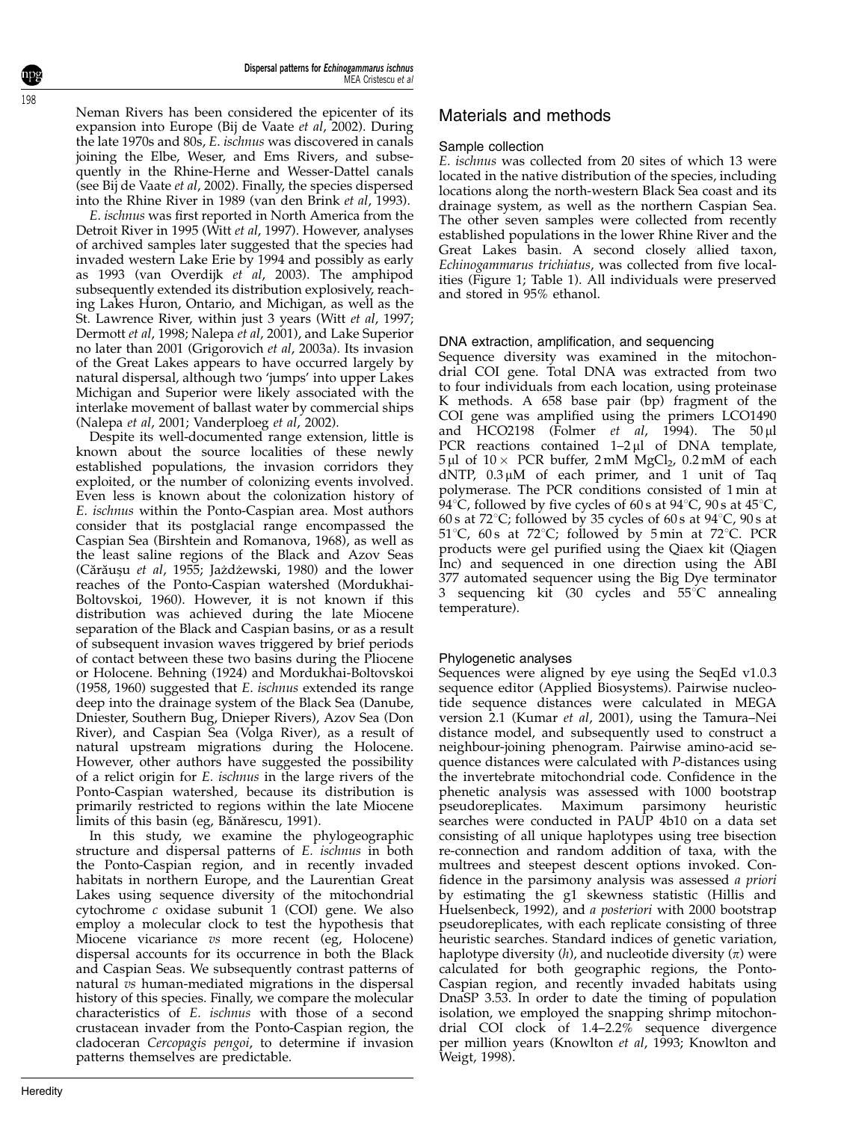Neman Rivers has been considered the epicenter of its expansion into Europe (Bij de Vaate et al, 2002). During the late 1970s and 80s, E. ischnus was discovered in canals joining the Elbe, Weser, and Ems Rivers, and subsequently in the Rhine-Herne and Wesser-Dattel canals (see Bij de Vaate et al, 2002). Finally, the species dispersed into the Rhine River in 1989 (van den Brink et al, 1993).

E. ischnus was first reported in North America from the Detroit River in 1995 (Witt et al, 1997). However, analyses of archived samples later suggested that the species had invaded western Lake Erie by 1994 and possibly as early as 1993 (van Overdijk et al, 2003). The amphipod subsequently extended its distribution explosively, reaching Lakes Huron, Ontario, and Michigan, as well as the St. Lawrence River, within just 3 years (Witt et al, 1997; Dermott et al, 1998; Nalepa et al, 2001), and Lake Superior no later than 2001 (Grigorovich et al, 2003a). Its invasion of the Great Lakes appears to have occurred largely by natural dispersal, although two 'jumps' into upper Lakes Michigan and Superior were likely associated with the interlake movement of ballast water by commercial ships (Nalepa et al, 2001; Vanderploeg et al, 2002).

Despite its well-documented range extension, little is known about the source localities of these newly established populations, the invasion corridors they exploited, or the number of colonizing events involved. Even less is known about the colonization history of E. ischnus within the Ponto-Caspian area. Most authors consider that its postglacial range encompassed the Caspian Sea (Birshtein and Romanova, 1968), as well as the least saline regions of the Black and Azov Seas (Cărăușu et al, 1955; Jażdżewski, 1980) and the lower reaches of the Ponto-Caspian watershed (Mordukhai-Boltovskoi, 1960). However, it is not known if this distribution was achieved during the late Miocene separation of the Black and Caspian basins, or as a result of subsequent invasion waves triggered by brief periods of contact between these two basins during the Pliocene or Holocene. Behning (1924) and Mordukhai-Boltovskoi (1958, 1960) suggested that E. ischnus extended its range deep into the drainage system of the Black Sea (Danube, Dniester, Southern Bug, Dnieper Rivers), Azov Sea (Don River), and Caspian Sea (Volga River), as a result of natural upstream migrations during the Holocene. However, other authors have suggested the possibility of a relict origin for E. ischnus in the large rivers of the Ponto-Caspian watershed, because its distribution is primarily restricted to regions within the late Miocene limits of this basin (eg, Bănărescu, 1991).

In this study, we examine the phylogeographic structure and dispersal patterns of E. ischnus in both the Ponto-Caspian region, and in recently invaded habitats in northern Europe, and the Laurentian Great Lakes using sequence diversity of the mitochondrial cytochrome c oxidase subunit 1 (COI) gene. We also employ a molecular clock to test the hypothesis that Miocene vicariance vs more recent (eg, Holocene) dispersal accounts for its occurrence in both the Black and Caspian Seas. We subsequently contrast patterns of natural  $\overline{v}$ s human-mediated migrations in the dispersal history of this species. Finally, we compare the molecular characteristics of E. ischnus with those of a second crustacean invader from the Ponto-Caspian region, the cladoceran Cercopagis pengoi, to determine if invasion patterns themselves are predictable.

# Materials and methods

#### Sample collection

E. ischnus was collected from 20 sites of which 13 were located in the native distribution of the species, including locations along the north-western Black Sea coast and its drainage system, as well as the northern Caspian Sea. The other seven samples were collected from recently established populations in the lower Rhine River and the Great Lakes basin. A second closely allied taxon, Echinogammarus trichiatus, was collected from five localities (Figure 1; Table 1). All individuals were preserved and stored in 95% ethanol.

#### DNA extraction, amplification, and sequencing

Sequence diversity was examined in the mitochondrial COI gene. Total DNA was extracted from two to four individuals from each location, using proteinase K methods. A 658 base pair (bp) fragment of the COI gene was amplified using the primers LCO1490 and HCO2198 (Folmer et al, 1994). The  $50 \mu l$ PCR reactions contained  $1-2\mu l$  of DNA template,  $5 \mu l$  of  $10 \times$  PCR buffer,  $2 \text{ mM } MgCl_2$ ,  $0.2 \text{ mM }$  of each dNTP,  $0.3 \mu M$  of each primer, and 1 unit of Taq polymerase. The PCR conditions consisted of 1 min at 94 °C, followed by five cycles of 60 s at  $94$  °C, 90 s at 45 °C, 60 s at 72 $\degree$ C; followed by 35 cycles of 60 s at 94 $\degree$ C, 90 s at 51<sup>°</sup>C, 60<sub>s</sub> at 72<sup>°</sup>C; followed by 5 min at 72<sup>°</sup>C. PCR products were gel purified using the Qiaex kit (Qiagen Inc) and sequenced in one direction using the ABI 377 automated sequencer using the Big Dye terminator 3 sequencing kit (30 cycles and  $55^{\circ}$ C annealing temperature).

# Phylogenetic analyses

Sequences were aligned by eye using the SeqEd v1.0.3 sequence editor (Applied Biosystems). Pairwise nucleotide sequence distances were calculated in MEGA version 2.1 (Kumar et al, 2001), using the Tamura–Nei distance model, and subsequently used to construct a neighbour-joining phenogram. Pairwise amino-acid sequence distances were calculated with P-distances using the invertebrate mitochondrial code. Confidence in the phenetic analysis was assessed with 1000 bootstrap pseudoreplicates. Maximum parsimony heuristic searches were conducted in PAUP 4b10 on a data set consisting of all unique haplotypes using tree bisection re-connection and random addition of taxa, with the multrees and steepest descent options invoked. Confidence in the parsimony analysis was assessed a priori by estimating the g1 skewness statistic (Hillis and Huelsenbeck, 1992), and a posteriori with 2000 bootstrap pseudoreplicates, with each replicate consisting of three heuristic searches. Standard indices of genetic variation, haplotype diversity  $(h)$ , and nucleotide diversity  $(\pi)$  were calculated for both geographic regions, the Ponto-Caspian region, and recently invaded habitats using DnaSP 3.53. In order to date the timing of population isolation, we employed the snapping shrimp mitochondrial COI clock of 1.4–2.2% sequence divergence per million years (Knowlton et al, 1993; Knowlton and Weigt, 1998).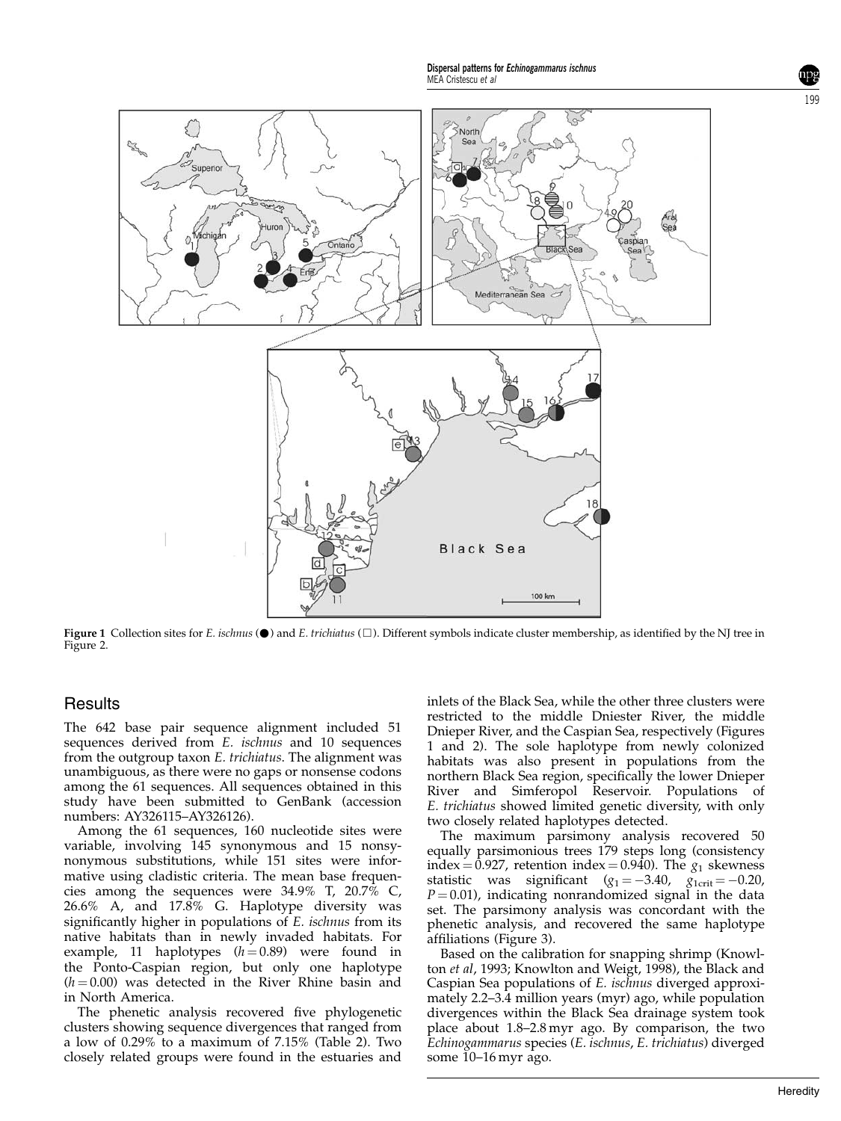Dispersal patterns for Echinogammarus ischnus MEA Cristescu et al.



**Figure 1** Collection sites for *E. ischnus* ( $\bullet$ ) and *E. trichiatus* ( $\Box$ ). Different symbols indicate cluster membership, as identified by the NJ tree in Figure 2.

# **Results**

The 642 base pair sequence alignment included 51 sequences derived from E. ischnus and 10 sequences from the outgroup taxon E. trichiatus. The alignment was unambiguous, as there were no gaps or nonsense codons among the 61 sequences. All sequences obtained in this study have been submitted to GenBank (accession numbers: AY326115–AY326126).

Among the 61 sequences, 160 nucleotide sites were variable, involving 145 synonymous and 15 nonsynonymous substitutions, while 151 sites were informative using cladistic criteria. The mean base frequencies among the sequences were 34.9% T, 20.7% C, 26.6% A, and 17.8% G. Haplotype diversity was significantly higher in populations of E. ischnus from its native habitats than in newly invaded habitats. For example, 11 haplotypes  $(h=0.89)$  were found in the Ponto-Caspian region, but only one haplotype  $(h = 0.00)$  was detected in the River Rhine basin and in North America.

The phenetic analysis recovered five phylogenetic clusters showing sequence divergences that ranged from a low of 0.29% to a maximum of 7.15% (Table 2). Two closely related groups were found in the estuaries and inlets of the Black Sea, while the other three clusters were restricted to the middle Dniester River, the middle Dnieper River, and the Caspian Sea, respectively (Figures 1 and 2). The sole haplotype from newly colonized habitats was also present in populations from the northern Black Sea region, specifically the lower Dnieper River and Simferopol Reservoir. Populations of E. trichiatus showed limited genetic diversity, with only two closely related haplotypes detected.

The maximum parsimony analysis recovered 50 equally parsimonious trees 179 steps long (consistency index = 0.927, retention index = 0.940). The  $g_1$  skewness statistic was significant  $(g_1 = -3.40, g_{1\text{crit}} = -0.20,$  $P = 0.01$ ), indicating nonrandomized signal in the data set. The parsimony analysis was concordant with the phenetic analysis, and recovered the same haplotype affiliations (Figure 3).

Based on the calibration for snapping shrimp (Knowlton et al, 1993; Knowlton and Weigt, 1998), the Black and Caspian Sea populations of E. ischnus diverged approximately 2.2–3.4 million years (myr) ago, while population divergences within the Black Sea drainage system took place about 1.8–2.8 myr ago. By comparison, the two Echinogammarus species (E. ischnus, E. trichiatus) diverged some 10–16 myr ago.

199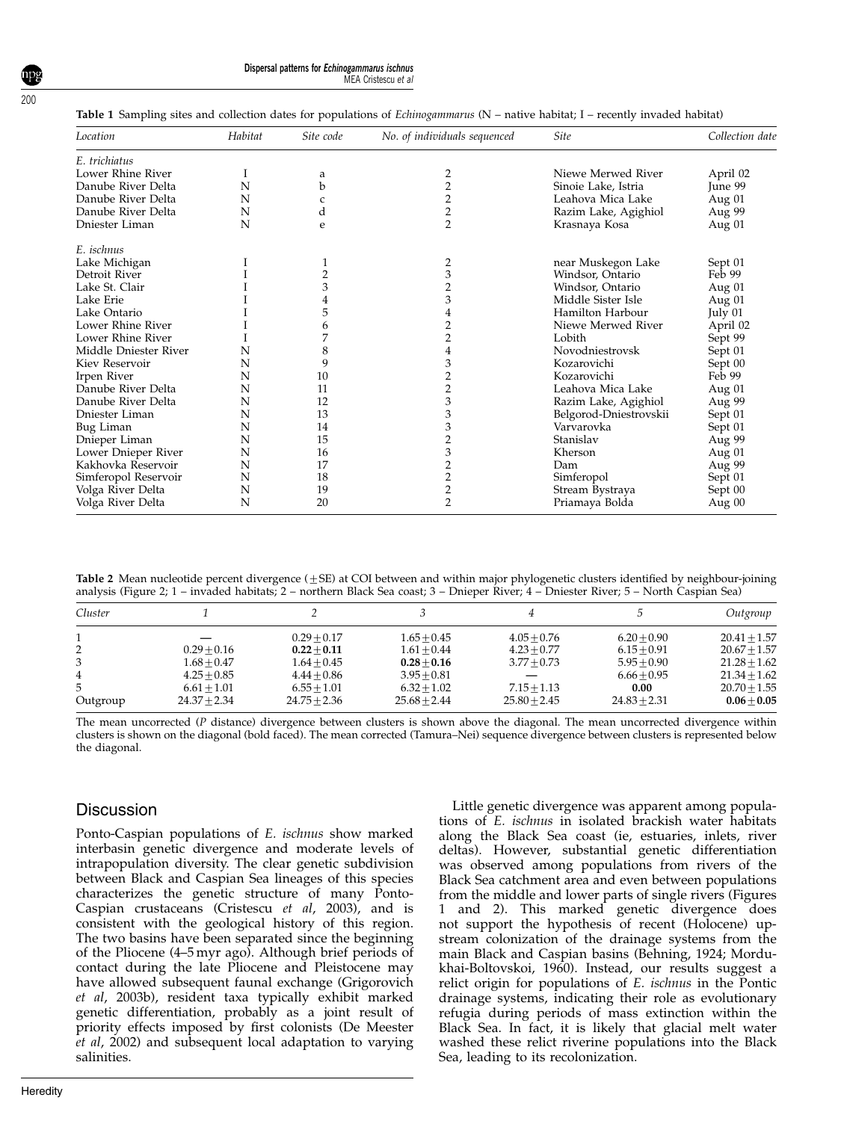|  | Dispersal patterns for Echinogammarus ischnus |                     |
|--|-----------------------------------------------|---------------------|
|  |                                               | MEA Cristescu et al |

| Table 1 Sampling sites and collection dates for populations of Echinogammarus (N - native habitat; I - recently invaded habitat) |  |  |  |
|----------------------------------------------------------------------------------------------------------------------------------|--|--|--|
|----------------------------------------------------------------------------------------------------------------------------------|--|--|--|

| Location              | Habitat | Site code      | No. of individuals sequenced | <b>Site</b>            | Collection date |
|-----------------------|---------|----------------|------------------------------|------------------------|-----------------|
| E. trichiatus         |         |                |                              |                        |                 |
| Lower Rhine River     |         | a              | 2                            | Niewe Merwed River     | April 02        |
| Danube River Delta    | N       | b              | $\overline{2}$               | Sinoie Lake, Istria    | June 99         |
| Danube River Delta    | N       | C              | 2                            | Leahova Mica Lake      | Aug 01          |
| Danube River Delta    | N       | d              | 2                            | Razim Lake, Agighiol   | Aug 99          |
| Dniester Liman        | N       | e              | $\overline{2}$               | Krasnaya Kosa          | Aug 01          |
| E. ischnus            |         |                |                              |                        |                 |
| Lake Michigan         |         | 1              | 2                            | near Muskegon Lake     | Sept 01         |
| Detroit River         |         | $\overline{2}$ | 3                            | Windsor, Ontario       | Feb 99          |
| Lake St. Clair        |         | 3              |                              | Windsor, Ontario       | Aug 01          |
| Lake Erie             |         | 4              | 3                            | Middle Sister Isle     | Aug 01          |
| Lake Ontario          |         | 5              |                              | Hamilton Harbour       | July 01         |
| Lower Rhine River     |         | 6              |                              | Niewe Merwed River     | April 02        |
| Lower Rhine River     |         | 7              |                              | Lobith                 | Sept 99         |
| Middle Dniester River | N       | 8              |                              | Novodniestrovsk        | Sept 01         |
| Kiev Reservoir        | N       | 9              |                              | Kozarovichi            | Sept 00         |
| Irpen River           | N       | 10             |                              | Kozarovichi            | Feb 99          |
| Danube River Delta    | N       | 11             | 2                            | Leahova Mica Lake      | Aug 01          |
| Danube River Delta    | N       | 12             | 3                            | Razim Lake, Agighiol   | Aug 99          |
| Dniester Liman        | N       | 13             | 3                            | Belgorod-Dniestrovskii | Sept 01         |
| Bug Liman             | N       | 14             | 3                            | Varvarovka             | Sept 01         |
| Dnieper Liman         | N       | 15             |                              | Stanislav              | Aug 99          |
| Lower Dnieper River   | N       | 16             | 3                            | Kherson                | Aug 01          |
| Kakhovka Reservoir    | N       | 17             |                              | Dam                    | Aug 99          |
| Simferopol Reservoir  | N       | 18             | $\overline{2}$               | Simferopol             | Sept 01         |
| Volga River Delta     | N       | 19             | 2                            | Stream Bystraya        | Sept 00         |
| Volga River Delta     | N       | 20             | $\overline{2}$               | Priamaya Bolda         | Aug 00          |

Table 2 Mean nucleotide percent divergence  $(\pm SE)$  at COI between and within major phylogenetic clusters identified by neighbour-joining analysis (Figure 2; 1 – invaded habitats; 2 – northern Black Sea coast; 3 – Dnieper River; 4 – Dniester River; 5 – North Caspian Sea)

| Cluster  |                |                |                |                |                | Outgroup       |
|----------|----------------|----------------|----------------|----------------|----------------|----------------|
|          |                | $0.29 + 0.17$  | $1.65 + 0.45$  | $4.05 + 0.76$  | $6.20 + 0.90$  | $20.41 + 1.57$ |
| 2        | $0.29 + 0.16$  | $0.22 + 0.11$  | $1.61 + 0.44$  | $4.23 + 0.77$  | $6.15 + 0.91$  | $20.67 + 1.57$ |
| 3        | $1.68 + 0.47$  | $1.64 + 0.45$  | $0.28 + 0.16$  | $3.77 + 0.73$  | $5.95 + 0.90$  | $21.28 + 1.62$ |
| 4        | $4.25 + 0.85$  | $4.44 + 0.86$  | $3.95 + 0.81$  |                | $6.66 + 0.95$  | $21.34 + 1.62$ |
| 5        | $6.61 + 1.01$  | $6.55 + 1.01$  | $6.32 + 1.02$  | $7.15 + 1.13$  | 0.00           | $20.70 + 1.55$ |
| Outgroup | $24.37 + 2.34$ | $24.75 + 2.36$ | $25.68 + 2.44$ | $25.80 + 2.45$ | $24.83 + 2.31$ | $0.06 + 0.05$  |

The mean uncorrected (P distance) divergence between clusters is shown above the diagonal. The mean uncorrected divergence within clusters is shown on the diagonal (bold faced). The mean corrected (Tamura–Nei) sequence divergence between clusters is represented below the diagonal.

# **Discussion**

Ponto-Caspian populations of E. ischnus show marked interbasin genetic divergence and moderate levels of intrapopulation diversity. The clear genetic subdivision between Black and Caspian Sea lineages of this species characterizes the genetic structure of many Ponto-Caspian crustaceans (Cristescu et al, 2003), and is consistent with the geological history of this region. The two basins have been separated since the beginning of the Pliocene (4–5 myr ago). Although brief periods of contact during the late Pliocene and Pleistocene may have allowed subsequent faunal exchange (Grigorovich et al, 2003b), resident taxa typically exhibit marked genetic differentiation, probably as a joint result of priority effects imposed by first colonists (De Meester et al, 2002) and subsequent local adaptation to varying salinities.

Little genetic divergence was apparent among populations of E. ischnus in isolated brackish water habitats along the Black Sea coast (ie, estuaries, inlets, river deltas). However, substantial genetic differentiation was observed among populations from rivers of the Black Sea catchment area and even between populations from the middle and lower parts of single rivers (Figures 1 and 2). This marked genetic divergence does not support the hypothesis of recent (Holocene) upstream colonization of the drainage systems from the main Black and Caspian basins (Behning, 1924; Mordukhai-Boltovskoi, 1960). Instead, our results suggest a relict origin for populations of E. ischnus in the Pontic drainage systems, indicating their role as evolutionary refugia during periods of mass extinction within the Black Sea. In fact, it is likely that glacial melt water washed these relict riverine populations into the Black Sea, leading to its recolonization.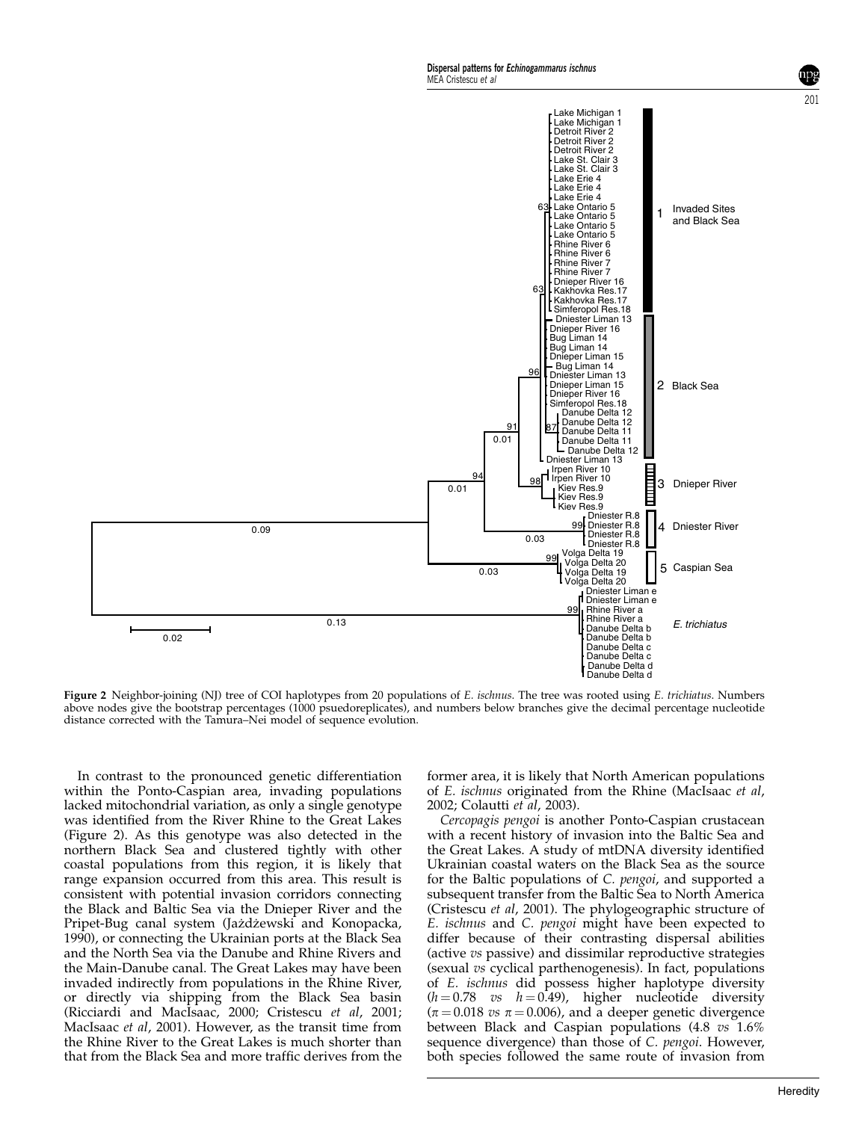

Figure 2 Neighbor-joining (NJ) tree of COI haplotypes from 20 populations of E. ischnus. The tree was rooted using E. trichiatus. Numbers above nodes give the bootstrap percentages (1000 psuedoreplicates), and numbers below branches give the decimal percentage nucleotide distance corrected with the Tamura–Nei model of sequence evolution.

In contrast to the pronounced genetic differentiation within the Ponto-Caspian area, invading populations lacked mitochondrial variation, as only a single genotype was identified from the River Rhine to the Great Lakes (Figure 2). As this genotype was also detected in the northern Black Sea and clustered tightly with other coastal populations from this region, it is likely that range expansion occurred from this area. This result is consistent with potential invasion corridors connecting the Black and Baltic Sea via the Dnieper River and the Pripet-Bug canal system (Jażdżewski and Konopacka, 1990), or connecting the Ukrainian ports at the Black Sea and the North Sea via the Danube and Rhine Rivers and the Main-Danube canal. The Great Lakes may have been invaded indirectly from populations in the Rhine River, or directly via shipping from the Black Sea basin (Ricciardi and MacIsaac, 2000; Cristescu et al, 2001; MacIsaac et al, 2001). However, as the transit time from the Rhine River to the Great Lakes is much shorter than that from the Black Sea and more traffic derives from the

former area, it is likely that North American populations of E. ischnus originated from the Rhine (MacIsaac et al, 2002; Colautti et al, 2003).

Cercopagis pengoi is another Ponto-Caspian crustacean with a recent history of invasion into the Baltic Sea and the Great Lakes. A study of mtDNA diversity identified Ukrainian coastal waters on the Black Sea as the source for the Baltic populations of C. pengoi, and supported a subsequent transfer from the Baltic Sea to North America (Cristescu et al, 2001). The phylogeographic structure of E. ischnus and C. pengoi might have been expected to differ because of their contrasting dispersal abilities (active vs passive) and dissimilar reproductive strategies (sexual vs cyclical parthenogenesis). In fact, populations of E. ischnus did possess higher haplotype diversity  $(h = 0.78$  vs  $h = 0.49$ ), higher nucleotide diversity  $(\pi = 0.018 \text{ vs } \pi = 0.006)$ , and a deeper genetic divergence between Black and Caspian populations (4.8 vs 1.6% sequence divergence) than those of C. pengoi. However, both species followed the same route of invasion from

201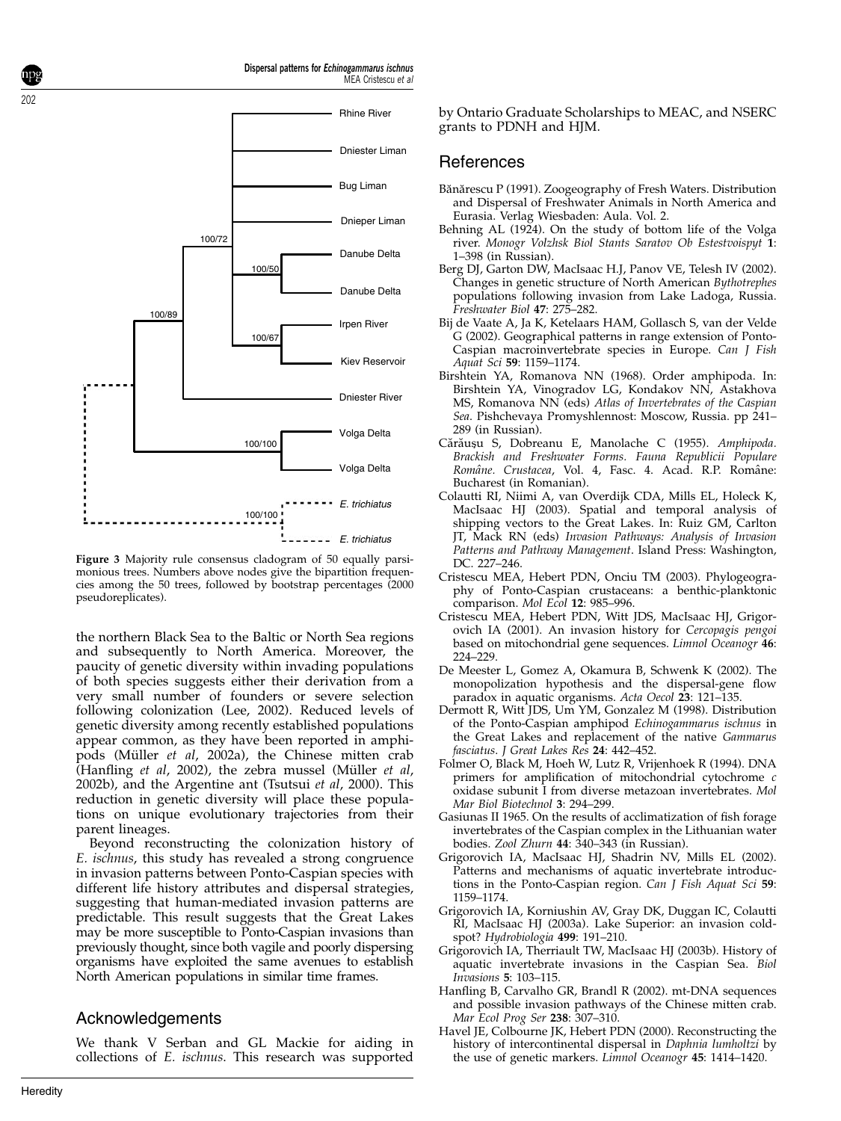

*E. trichiatus*

Dispersal patterns for Echinogammarus ischnus

MEA Cristescu et al

Figure 3 Majority rule consensus cladogram of 50 equally parsimonious trees. Numbers above nodes give the bipartition frequencies among the 50 trees, followed by bootstrap percentages (2000 pseudoreplicates).

the northern Black Sea to the Baltic or North Sea regions and subsequently to North America. Moreover, the paucity of genetic diversity within invading populations of both species suggests either their derivation from a very small number of founders or severe selection following colonization (Lee, 2002). Reduced levels of genetic diversity among recently established populations appear common, as they have been reported in amphipods (Müller et al, 2002a), the Chinese mitten crab  $H$ anfling et al, 2002), the zebra mussel (Müller et al, 2002b), and the Argentine ant (Tsutsui et al, 2000). This reduction in genetic diversity will place these populations on unique evolutionary trajectories from their parent lineages.

Beyond reconstructing the colonization history of E. ischnus, this study has revealed a strong congruence in invasion patterns between Ponto-Caspian species with different life history attributes and dispersal strategies, suggesting that human-mediated invasion patterns are predictable. This result suggests that the Great Lakes may be more susceptible to Ponto-Caspian invasions than previously thought, since both vagile and poorly dispersing organisms have exploited the same avenues to establish North American populations in similar time frames.

#### Acknowledgements

We thank V Serban and GL Mackie for aiding in collections of E. ischnus. This research was supported by Ontario Graduate Scholarships to MEAC, and NSERC grants to PDNH and HJM.

#### References

- Bănărescu P (1991). Zoogeography of Fresh Waters. Distribution and Dispersal of Freshwater Animals in North America and Eurasia. Verlag Wiesbaden: Aula. Vol. 2.
- Behning AL (1924). On the study of bottom life of the Volga river. Monogr Volzhsk Biol Stants Saratov Ob Estestvoispyt 1: 1–398 (in Russian).
- Berg DJ, Garton DW, MacIsaac H.J, Panov VE, Telesh IV (2002). Changes in genetic structure of North American Bythotrephes populations following invasion from Lake Ladoga, Russia. Freshwater Biol 47: 275–282.
- Bij de Vaate A, Ja K, Ketelaars HAM, Gollasch S, van der Velde G (2002). Geographical patterns in range extension of Ponto-Caspian macroinvertebrate species in Europe. Can J Fish Aquat Sci 59: 1159–1174.
- Birshtein YA, Romanova NN (1968). Order amphipoda. In: Birshtein YA, Vinogradov LG, Kondakov NN, Astakhova MS, Romanova NN (eds) Atlas of Invertebrates of the Caspian Sea. Pishchevaya Promyshlennost: Moscow, Russia. pp 241– 289 (in Russian).
- Cărăușu S, Dobreanu E, Manolache C (1955). Amphipoda. Brackish and Freshwater Forms. Fauna Republicii Populare Române. Crustacea, Vol. 4, Fasc. 4. Acad. R.P. Române: Bucharest (in Romanian).
- Colautti RI, Niimi A, van Overdijk CDA, Mills EL, Holeck K, MacIsaac HJ (2003). Spatial and temporal analysis of shipping vectors to the Great Lakes. In: Ruiz GM, Carlton JT, Mack RN (eds) Invasion Pathways: Analysis of Invasion Patterns and Pathway Management. Island Press: Washington, DC. 227–246.
- Cristescu MEA, Hebert PDN, Onciu TM (2003). Phylogeography of Ponto-Caspian crustaceans: a benthic-planktonic comparison. Mol Ecol 12: 985–996.
- Cristescu MEA, Hebert PDN, Witt JDS, MacIsaac HJ, Grigorovich IA (2001). An invasion history for Cercopagis pengoi based on mitochondrial gene sequences. Limnol Oceanogr 46: 224–229.
- De Meester L, Gomez A, Okamura B, Schwenk K (2002). The monopolization hypothesis and the dispersal-gene flow paradox in aquatic organisms. Acta Oecol 23: 121–135.
- Dermott R, Witt JDS, Um YM, Gonzalez M (1998). Distribution of the Ponto-Caspian amphipod Echinogammarus ischnus in the Great Lakes and replacement of the native Gammarus fasciatus. J Great Lakes Res 24: 442-452.
- Folmer O, Black M, Hoeh W, Lutz R, Vrijenhoek R (1994). DNA primers for amplification of mitochondrial cytochrome c oxidase subunit I from diverse metazoan invertebrates. Mol Mar Biol Biotechnol 3: 294–299.
- Gasiunas II 1965. On the results of acclimatization of fish forage invertebrates of the Caspian complex in the Lithuanian water bodies. Zool Zhurn 44: 340-343 (in Russian).
- Grigorovich IA, MacIsaac HJ, Shadrin NV, Mills EL (2002). Patterns and mechanisms of aquatic invertebrate introductions in the Ponto-Caspian region. Can J Fish Aquat Sci 59: 1159–1174.
- Grigorovich IA, Korniushin AV, Gray DK, Duggan IC, Colautti RI, MacIsaac HJ (2003a). Lake Superior: an invasion coldspot? Hydrobiologia 499: 191–210.
- Grigorovich IA, Therriault TW, MacIsaac HJ (2003b). History of aquatic invertebrate invasions in the Caspian Sea. Biol Invasions 5: 103–115.
- Hanfling B, Carvalho GR, Brandl R (2002). mt-DNA sequences and possible invasion pathways of the Chinese mitten crab. Mar Ecol Prog Ser 238: 307–310.
- Havel JE, Colbourne JK, Hebert PDN (2000). Reconstructing the history of intercontinental dispersal in Daphnia lumholtzi by the use of genetic markers. Limnol Oceanogr 45: 1414-1420.